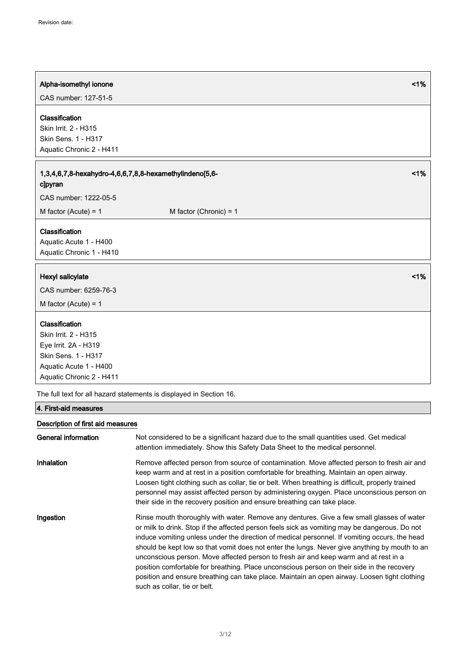| Alpha-isomethyl ionone                                                                                                                      |                          | 1% |
|---------------------------------------------------------------------------------------------------------------------------------------------|--------------------------|----|
| CAS number: 127-51-5                                                                                                                        |                          |    |
| Classification<br>Skin Irrit. 2 - H315<br>Skin Sens. 1 - H317<br>Aquatic Chronic 2 - H411                                                   |                          |    |
| 1,3,4,6,7,8-hexahydro-4,6,6,7,8,8-hexamethylindeno[5,6-<br>clpyran<br>CAS number: 1222-05-5                                                 |                          | 1% |
| M factor (Acute) = $1$                                                                                                                      | M factor (Chronic) = $1$ |    |
| Classification<br>Aquatic Acute 1 - H400<br>Aquatic Chronic 1 - H410                                                                        |                          |    |
| Hexyl salicylate                                                                                                                            |                          | 1% |
| CAS number: 6259-76-3                                                                                                                       |                          |    |
| M factor (Acute) = $1$                                                                                                                      |                          |    |
| Classification<br>Skin Irrit. 2 - H315<br>Eye Irrit. 2A - H319<br>Skin Sens. 1 - H317<br>Aquatic Acute 1 - H400<br>Aquatic Chronic 2 - H411 |                          |    |

The full text for all hazard statements is displayed in Section 16.

# 4. First-aid measures

# Description of first aid measures

| General information | Not considered to be a significant hazard due to the small quantities used. Get medical<br>attention immediately. Show this Safety Data Sheet to the medical personnel.                                                                                                                                                                                                                                                                                                                                                                                                                                                                                                                                            |
|---------------------|--------------------------------------------------------------------------------------------------------------------------------------------------------------------------------------------------------------------------------------------------------------------------------------------------------------------------------------------------------------------------------------------------------------------------------------------------------------------------------------------------------------------------------------------------------------------------------------------------------------------------------------------------------------------------------------------------------------------|
| <b>Inhalation</b>   | Remove affected person from source of contamination. Move affected person to fresh air and<br>keep warm and at rest in a position comfortable for breathing. Maintain an open airway.<br>Loosen tight clothing such as collar, tie or belt. When breathing is difficult, properly trained<br>personnel may assist affected person by administering oxygen. Place unconscious person on<br>their side in the recovery position and ensure breathing can take place.                                                                                                                                                                                                                                                 |
| Ingestion           | Rinse mouth thoroughly with water. Remove any dentures. Give a few small glasses of water<br>or milk to drink. Stop if the affected person feels sick as vomiting may be dangerous. Do not<br>induce vomiting unless under the direction of medical personnel. If vomiting occurs, the head<br>should be kept low so that vomit does not enter the lungs. Never give anything by mouth to an<br>unconscious person. Move affected person to fresh air and keep warm and at rest in a<br>position comfortable for breathing. Place unconscious person on their side in the recovery<br>position and ensure breathing can take place. Maintain an open airway. Loosen tight clothing<br>such as collar, tie or belt. |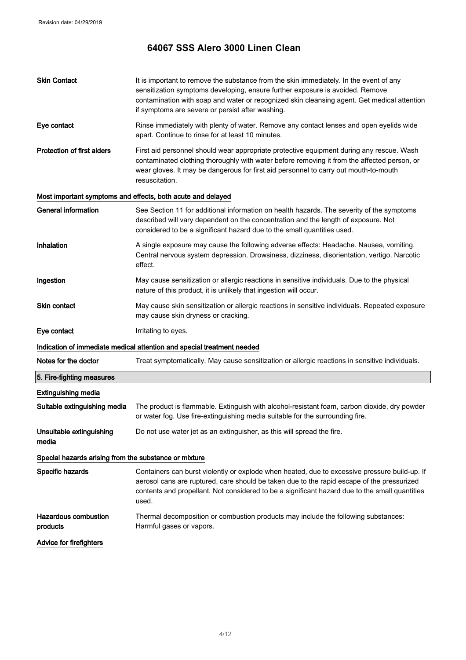| <b>Skin Contact</b>                                   | It is important to remove the substance from the skin immediately. In the event of any<br>sensitization symptoms developing, ensure further exposure is avoided. Remove<br>contamination with soap and water or recognized skin cleansing agent. Get medical attention<br>if symptoms are severe or persist after washing. |
|-------------------------------------------------------|----------------------------------------------------------------------------------------------------------------------------------------------------------------------------------------------------------------------------------------------------------------------------------------------------------------------------|
| Eye contact                                           | Rinse immediately with plenty of water. Remove any contact lenses and open eyelids wide<br>apart. Continue to rinse for at least 10 minutes.                                                                                                                                                                               |
| <b>Protection of first aiders</b>                     | First aid personnel should wear appropriate protective equipment during any rescue. Wash<br>contaminated clothing thoroughly with water before removing it from the affected person, or<br>wear gloves. It may be dangerous for first aid personnel to carry out mouth-to-mouth<br>resuscitation.                          |
|                                                       | Most important symptoms and effects, both acute and delayed                                                                                                                                                                                                                                                                |
| <b>General information</b>                            | See Section 11 for additional information on health hazards. The severity of the symptoms<br>described will vary dependent on the concentration and the length of exposure. Not<br>considered to be a significant hazard due to the small quantities used.                                                                 |
| Inhalation                                            | A single exposure may cause the following adverse effects: Headache. Nausea, vomiting.<br>Central nervous system depression. Drowsiness, dizziness, disorientation, vertigo. Narcotic<br>effect.                                                                                                                           |
| Ingestion                                             | May cause sensitization or allergic reactions in sensitive individuals. Due to the physical<br>nature of this product, it is unlikely that ingestion will occur.                                                                                                                                                           |
| <b>Skin contact</b>                                   | May cause skin sensitization or allergic reactions in sensitive individuals. Repeated exposure<br>may cause skin dryness or cracking.                                                                                                                                                                                      |
| Eye contact                                           | Irritating to eyes.                                                                                                                                                                                                                                                                                                        |
|                                                       | Indication of immediate medical attention and special treatment needed                                                                                                                                                                                                                                                     |
| Notes for the doctor                                  | Treat symptomatically. May cause sensitization or allergic reactions in sensitive individuals.                                                                                                                                                                                                                             |
| 5. Fire-fighting measures                             |                                                                                                                                                                                                                                                                                                                            |
| <b>Extinguishing media</b>                            |                                                                                                                                                                                                                                                                                                                            |
| Suitable extinguishing media                          | The product is flammable. Extinguish with alcohol-resistant foam, carbon dioxide, dry powder<br>or water fog. Use fire-extinguishing media suitable for the surrounding fire.                                                                                                                                              |
| Unsuitable extinguishing<br>media                     | Do not use water jet as an extinguisher, as this will spread the fire.                                                                                                                                                                                                                                                     |
| Special hazards arising from the substance or mixture |                                                                                                                                                                                                                                                                                                                            |
| Specific hazards                                      | Containers can burst violently or explode when heated, due to excessive pressure build-up. If<br>aerosol cans are ruptured, care should be taken due to the rapid escape of the pressurized<br>contents and propellant. Not considered to be a significant hazard due to the small quantities<br>used.                     |
| <b>Hazardous combustion</b><br>products               | Thermal decomposition or combustion products may include the following substances:<br>Harmful gases or vapors.                                                                                                                                                                                                             |
| Advice for firefighters                               |                                                                                                                                                                                                                                                                                                                            |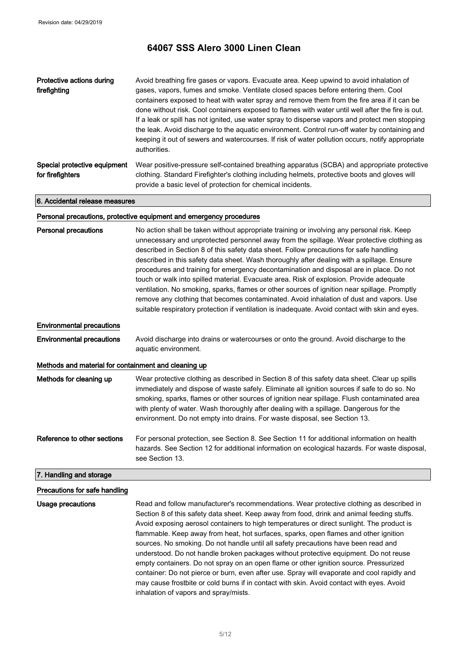| Protective actions during<br>firefighting        | Avoid breathing fire gases or vapors. Evacuate area. Keep upwind to avoid inhalation of<br>gases, vapors, fumes and smoke. Ventilate closed spaces before entering them. Cool<br>containers exposed to heat with water spray and remove them from the fire area if it can be<br>done without risk. Cool containers exposed to flames with water until well after the fire is out.<br>If a leak or spill has not ignited, use water spray to disperse vapors and protect men stopping<br>the leak. Avoid discharge to the aquatic environment. Control run-off water by containing and<br>keeping it out of sewers and watercourses. If risk of water pollution occurs, notify appropriate<br>authorities. |
|--------------------------------------------------|-----------------------------------------------------------------------------------------------------------------------------------------------------------------------------------------------------------------------------------------------------------------------------------------------------------------------------------------------------------------------------------------------------------------------------------------------------------------------------------------------------------------------------------------------------------------------------------------------------------------------------------------------------------------------------------------------------------|
| Special protective equipment<br>for firefighters | Wear positive-pressure self-contained breathing apparatus (SCBA) and appropriate protective<br>clothing. Standard Firefighter's clothing including helmets, protective boots and gloves will<br>provide a basic level of protection for chemical incidents.                                                                                                                                                                                                                                                                                                                                                                                                                                               |

6. Accidental release measures

### Personal precautions, protective equipment and emergency procedures

| <b>Personal precautions</b>                          | No action shall be taken without appropriate training or involving any personal risk. Keep<br>unnecessary and unprotected personnel away from the spillage. Wear protective clothing as<br>described in Section 8 of this safety data sheet. Follow precautions for safe handling<br>described in this safety data sheet. Wash thoroughly after dealing with a spillage. Ensure<br>procedures and training for emergency decontamination and disposal are in place. Do not<br>touch or walk into spilled material. Evacuate area. Risk of explosion. Provide adequate<br>ventilation. No smoking, sparks, flames or other sources of ignition near spillage. Promptly<br>remove any clothing that becomes contaminated. Avoid inhalation of dust and vapors. Use<br>suitable respiratory protection if ventilation is inadequate. Avoid contact with skin and eyes. |
|------------------------------------------------------|---------------------------------------------------------------------------------------------------------------------------------------------------------------------------------------------------------------------------------------------------------------------------------------------------------------------------------------------------------------------------------------------------------------------------------------------------------------------------------------------------------------------------------------------------------------------------------------------------------------------------------------------------------------------------------------------------------------------------------------------------------------------------------------------------------------------------------------------------------------------|
| <b>Environmental precautions</b>                     |                                                                                                                                                                                                                                                                                                                                                                                                                                                                                                                                                                                                                                                                                                                                                                                                                                                                     |
| <b>Environmental precautions</b>                     | Avoid discharge into drains or watercourses or onto the ground. Avoid discharge to the<br>aquatic environment.                                                                                                                                                                                                                                                                                                                                                                                                                                                                                                                                                                                                                                                                                                                                                      |
| Methods and material for containment and cleaning up |                                                                                                                                                                                                                                                                                                                                                                                                                                                                                                                                                                                                                                                                                                                                                                                                                                                                     |
| Methods for cleaning up                              | Wear protective clothing as described in Section 8 of this safety data sheet. Clear up spills<br>immediately and dispose of waste safely. Eliminate all ignition sources if safe to do so. No<br>smoking, sparks, flames or other sources of ignition near spillage. Flush contaminated area<br>with plenty of water. Wash thoroughly after dealing with a spillage. Dangerous for the<br>environment. Do not empty into drains. For waste disposal, see Section 13.                                                                                                                                                                                                                                                                                                                                                                                                |
| Reference to other sections                          | For personal protection, see Section 8. See Section 11 for additional information on health<br>hazards. See Section 12 for additional information on ecological hazards. For waste disposal,<br>see Section 13.                                                                                                                                                                                                                                                                                                                                                                                                                                                                                                                                                                                                                                                     |
| 7. Handling and storage                              |                                                                                                                                                                                                                                                                                                                                                                                                                                                                                                                                                                                                                                                                                                                                                                                                                                                                     |

### Precautions for safe handling

Usage precautions Read and follow manufacturer's recommendations. Wear protective clothing as described in Section 8 of this safety data sheet. Keep away from food, drink and animal feeding stuffs. Avoid exposing aerosol containers to high temperatures or direct sunlight. The product is flammable. Keep away from heat, hot surfaces, sparks, open flames and other ignition sources. No smoking. Do not handle until all safety precautions have been read and understood. Do not handle broken packages without protective equipment. Do not reuse empty containers. Do not spray on an open flame or other ignition source. Pressurized container: Do not pierce or burn, even after use. Spray will evaporate and cool rapidly and may cause frostbite or cold burns if in contact with skin. Avoid contact with eyes. Avoid inhalation of vapors and spray/mists.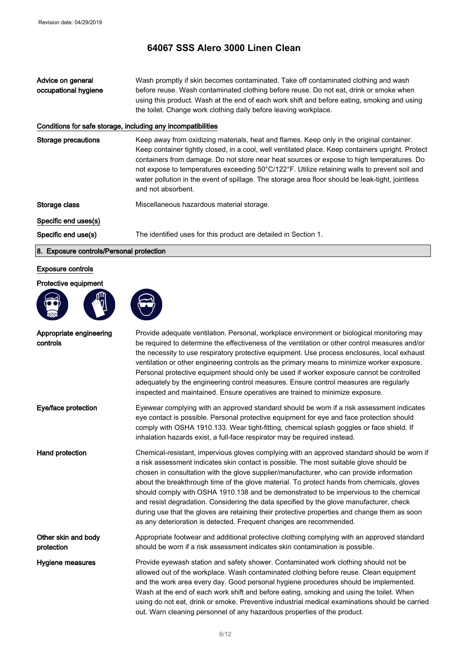Advice on general occupational hygiene Wash promptly if skin becomes contaminated. Take off contaminated clothing and wash before reuse. Wash contaminated clothing before reuse. Do not eat, drink or smoke when using this product. Wash at the end of each work shift and before eating, smoking and using the toilet. Change work clothing daily before leaving workplace.

## Conditions for safe storage, including any incompatibilities

Storage precautions Keep away from oxidizing materials, heat and flames. Keep only in the original container. Keep container tightly closed, in a cool, well ventilated place. Keep containers upright. Protect containers from damage. Do not store near heat sources or expose to high temperatures. Do not expose to temperatures exceeding 50°C/122°F. Utilize retaining walls to prevent soil and water pollution in the event of spillage. The storage area floor should be leak-tight, jointless and not absorbent.

Storage class Miscellaneous hazardous material storage.

Specific end uses(s)

Specific end use(s) The identified uses for this product are detailed in Section 1.

#### 8. Exposure controls/Personal protection

### Exposure controls

#### Protective equipment





| Appropriate engineering<br>controls | Provide adequate ventilation. Personal, workplace environment or biological monitoring may<br>be required to determine the effectiveness of the ventilation or other control measures and/or<br>the necessity to use respiratory protective equipment. Use process enclosures, local exhaust<br>ventilation or other engineering controls as the primary means to minimize worker exposure.<br>Personal protective equipment should only be used if worker exposure cannot be controlled<br>adequately by the engineering control measures. Ensure control measures are regularly<br>inspected and maintained. Ensure operatives are trained to minimize exposure.                                                                          |
|-------------------------------------|---------------------------------------------------------------------------------------------------------------------------------------------------------------------------------------------------------------------------------------------------------------------------------------------------------------------------------------------------------------------------------------------------------------------------------------------------------------------------------------------------------------------------------------------------------------------------------------------------------------------------------------------------------------------------------------------------------------------------------------------|
| Eye/face protection                 | Eyewear complying with an approved standard should be worn if a risk assessment indicates<br>eye contact is possible. Personal protective equipment for eye and face protection should<br>comply with OSHA 1910.133. Wear tight-fitting, chemical splash goggles or face shield. If<br>inhalation hazards exist, a full-face respirator may be required instead.                                                                                                                                                                                                                                                                                                                                                                            |
| Hand protection                     | Chemical-resistant, impervious gloves complying with an approved standard should be worn if<br>a risk assessment indicates skin contact is possible. The most suitable glove should be<br>chosen in consultation with the glove supplier/manufacturer, who can provide information<br>about the breakthrough time of the glove material. To protect hands from chemicals, gloves<br>should comply with OSHA 1910.138 and be demonstrated to be impervious to the chemical<br>and resist degradation. Considering the data specified by the glove manufacturer, check<br>during use that the gloves are retaining their protective properties and change them as soon<br>as any deterioration is detected. Frequent changes are recommended. |
| Other skin and body<br>protection   | Appropriate footwear and additional protective clothing complying with an approved standard<br>should be worn if a risk assessment indicates skin contamination is possible.                                                                                                                                                                                                                                                                                                                                                                                                                                                                                                                                                                |
| Hygiene measures                    | Provide eyewash station and safety shower. Contaminated work clothing should not be<br>allowed out of the workplace. Wash contaminated clothing before reuse. Clean equipment<br>and the work area every day. Good personal hygiene procedures should be implemented.<br>Wash at the end of each work shift and before eating, smoking and using the toilet. When<br>using do not eat, drink or smoke. Preventive industrial medical examinations should be carried<br>out. Warn cleaning personnel of any hazardous properties of the product.                                                                                                                                                                                             |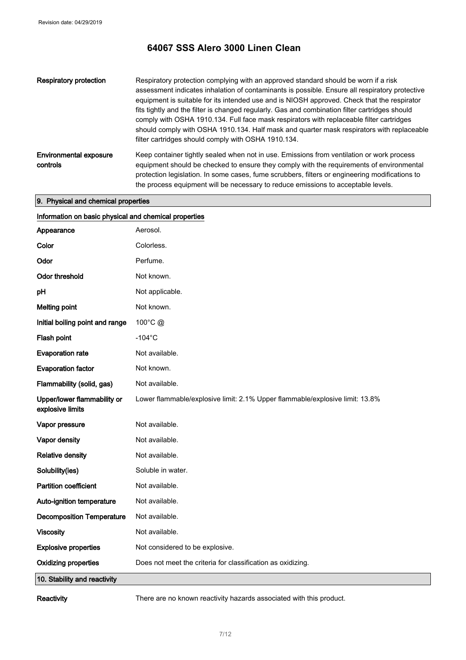| Respiratory protection             | Respiratory protection complying with an approved standard should be worn if a risk<br>assessment indicates inhalation of contaminants is possible. Ensure all respiratory protective<br>equipment is suitable for its intended use and is NIOSH approved. Check that the respirator<br>fits tightly and the filter is changed regularly. Gas and combination filter cartridges should<br>comply with OSHA 1910.134. Full face mask respirators with replaceable filter cartridges<br>should comply with OSHA 1910.134. Half mask and quarter mask respirators with replaceable<br>filter cartridges should comply with OSHA 1910.134. |
|------------------------------------|----------------------------------------------------------------------------------------------------------------------------------------------------------------------------------------------------------------------------------------------------------------------------------------------------------------------------------------------------------------------------------------------------------------------------------------------------------------------------------------------------------------------------------------------------------------------------------------------------------------------------------------|
| Environmental exposure<br>controls | Keep container tightly sealed when not in use. Emissions from ventilation or work process<br>equipment should be checked to ensure they comply with the requirements of environmental<br>protection legislation. In some cases, fume scrubbers, filters or engineering modifications to<br>the process equipment will be necessary to reduce emissions to acceptable levels.                                                                                                                                                                                                                                                           |

# 9. Physical and chemical properties

| Information on basic physical and chemical properties |                                                                              |
|-------------------------------------------------------|------------------------------------------------------------------------------|
| Appearance                                            | Aerosol.                                                                     |
| Color                                                 | Colorless.                                                                   |
| Odor                                                  | Perfume.                                                                     |
| <b>Odor threshold</b>                                 | Not known.                                                                   |
| рH                                                    | Not applicable.                                                              |
| <b>Melting point</b>                                  | Not known.                                                                   |
| Initial boiling point and range                       | 100°C @                                                                      |
| Flash point                                           | $-104$ °C                                                                    |
| <b>Evaporation rate</b>                               | Not available.                                                               |
| <b>Evaporation factor</b>                             | Not known.                                                                   |
| Flammability (solid, gas)                             | Not available.                                                               |
| Upper/lower flammability or<br>explosive limits       | Lower flammable/explosive limit: 2.1% Upper flammable/explosive limit: 13.8% |
| Vapor pressure                                        | Not available.                                                               |
| Vapor density                                         | Not available.                                                               |
| <b>Relative density</b>                               | Not available.                                                               |
| Solubility(ies)                                       | Soluble in water.                                                            |
| <b>Partition coefficient</b>                          | Not available.                                                               |
| Auto-ignition temperature                             | Not available.                                                               |
| <b>Decomposition Temperature</b>                      | Not available.                                                               |
| <b>Viscosity</b>                                      | Not available.                                                               |
| <b>Explosive properties</b>                           | Not considered to be explosive.                                              |
| <b>Oxidizing properties</b>                           | Does not meet the criteria for classification as oxidizing.                  |
| 10. Stability and reactivity                          |                                                                              |

Reactivity There are no known reactivity hazards associated with this product.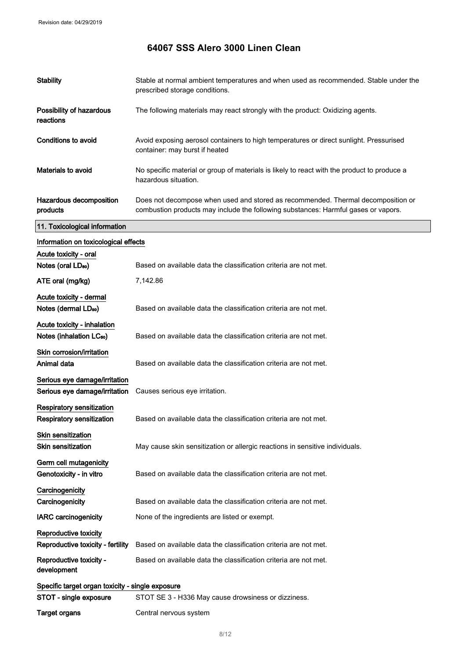# **64067 SSS Alero 3000 Linen Clean**

| <b>Stability</b>                                 | Stable at normal ambient temperatures and when used as recommended. Stable under the<br>prescribed storage conditions.                                                 |
|--------------------------------------------------|------------------------------------------------------------------------------------------------------------------------------------------------------------------------|
| Possibility of hazardous<br>reactions            | The following materials may react strongly with the product: Oxidizing agents.                                                                                         |
| <b>Conditions to avoid</b>                       | Avoid exposing aerosol containers to high temperatures or direct sunlight. Pressurised<br>container: may burst if heated                                               |
| Materials to avoid                               | No specific material or group of materials is likely to react with the product to produce a<br>hazardous situation.                                                    |
| Hazardous decomposition<br>products              | Does not decompose when used and stored as recommended. Thermal decomposition or<br>combustion products may include the following substances: Harmful gases or vapors. |
| 11. Toxicological information                    |                                                                                                                                                                        |
| Information on toxicological effects             |                                                                                                                                                                        |
| Acute toxicity - oral                            |                                                                                                                                                                        |
| Notes (oral LD <sub>50</sub> )                   | Based on available data the classification criteria are not met.                                                                                                       |
| ATE oral (mg/kg)                                 | 7,142.86                                                                                                                                                               |
| Acute toxicity - dermal                          |                                                                                                                                                                        |
| Notes (dermal LD <sub>50</sub> )                 | Based on available data the classification criteria are not met.                                                                                                       |
| Acute toxicity - inhalation                      |                                                                                                                                                                        |
| Notes (inhalation LC <sub>50</sub> )             | Based on available data the classification criteria are not met.                                                                                                       |
| Skin corrosion/irritation                        |                                                                                                                                                                        |
| Animal data                                      | Based on available data the classification criteria are not met.                                                                                                       |
| Serious eye damage/irritation                    |                                                                                                                                                                        |
| Serious eye damage/irritation                    | Causes serious eye irritation.                                                                                                                                         |
| Respiratory sensitization                        |                                                                                                                                                                        |
| Respiratory sensitization                        | Based on available data the classification criteria are not met.                                                                                                       |
| <b>Skin sensitization</b>                        |                                                                                                                                                                        |
| <b>Skin sensitization</b>                        | May cause skin sensitization or allergic reactions in sensitive individuals.                                                                                           |
| Germ cell mutagenicity                           |                                                                                                                                                                        |
| Genotoxicity - in vitro                          | Based on available data the classification criteria are not met.                                                                                                       |
| Carcinogenicity                                  |                                                                                                                                                                        |
| Carcinogenicity                                  | Based on available data the classification criteria are not met.                                                                                                       |
| <b>IARC</b> carcinogenicity                      | None of the ingredients are listed or exempt.                                                                                                                          |
| Reproductive toxicity                            |                                                                                                                                                                        |
| Reproductive toxicity - fertility                | Based on available data the classification criteria are not met.                                                                                                       |
| Reproductive toxicity -<br>development           | Based on available data the classification criteria are not met.                                                                                                       |
| Specific target organ toxicity - single exposure |                                                                                                                                                                        |
| STOT - single exposure                           | STOT SE 3 - H336 May cause drowsiness or dizziness.                                                                                                                    |
| <b>Target organs</b>                             | Central nervous system                                                                                                                                                 |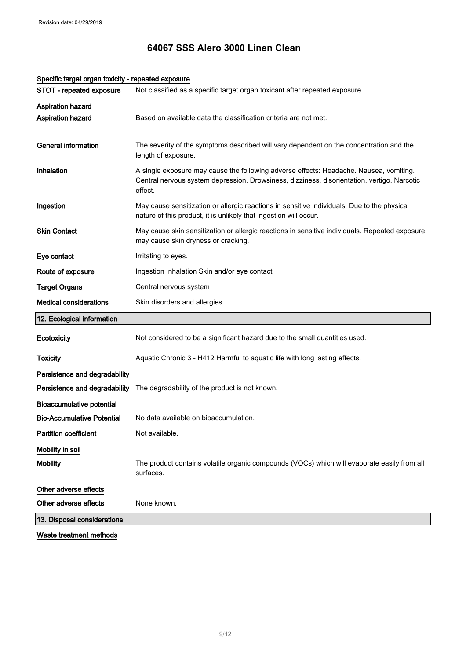| STOT - repeated exposure          | Not classified as a specific target organ toxicant after repeated exposure.                                                                                                                      |
|-----------------------------------|--------------------------------------------------------------------------------------------------------------------------------------------------------------------------------------------------|
| <b>Aspiration hazard</b>          |                                                                                                                                                                                                  |
| Aspiration hazard                 | Based on available data the classification criteria are not met.                                                                                                                                 |
| <b>General information</b>        | The severity of the symptoms described will vary dependent on the concentration and the<br>length of exposure.                                                                                   |
| Inhalation                        | A single exposure may cause the following adverse effects: Headache. Nausea, vomiting.<br>Central nervous system depression. Drowsiness, dizziness, disorientation, vertigo. Narcotic<br>effect. |
| Ingestion                         | May cause sensitization or allergic reactions in sensitive individuals. Due to the physical<br>nature of this product, it is unlikely that ingestion will occur.                                 |
| <b>Skin Contact</b>               | May cause skin sensitization or allergic reactions in sensitive individuals. Repeated exposure<br>may cause skin dryness or cracking.                                                            |
| Eye contact                       | Irritating to eyes.                                                                                                                                                                              |
| Route of exposure                 | Ingestion Inhalation Skin and/or eye contact                                                                                                                                                     |
| <b>Target Organs</b>              | Central nervous system                                                                                                                                                                           |
| <b>Medical considerations</b>     | Skin disorders and allergies.                                                                                                                                                                    |
| 12. Ecological information        |                                                                                                                                                                                                  |
| Ecotoxicity                       | Not considered to be a significant hazard due to the small quantities used.                                                                                                                      |
| Toxicity                          | Aquatic Chronic 3 - H412 Harmful to aquatic life with long lasting effects.                                                                                                                      |
| Persistence and degradability     |                                                                                                                                                                                                  |
| Persistence and degradability     | The degradability of the product is not known.                                                                                                                                                   |
| <b>Bioaccumulative potential</b>  |                                                                                                                                                                                                  |
| <b>Bio-Accumulative Potential</b> | No data available on bioaccumulation.                                                                                                                                                            |
| <b>Partition coefficient</b>      | Not available.                                                                                                                                                                                   |
| Mobility in soil                  |                                                                                                                                                                                                  |
| <b>Mobility</b>                   | The product contains volatile organic compounds (VOCs) which will evaporate easily from all<br>surfaces.                                                                                         |
| Other adverse effects             |                                                                                                                                                                                                  |
| Other adverse effects             | None known.                                                                                                                                                                                      |
|                                   |                                                                                                                                                                                                  |
| 13. Disposal considerations       |                                                                                                                                                                                                  |

### Specific target organ toxicity - repeated exposure

Waste treatment methods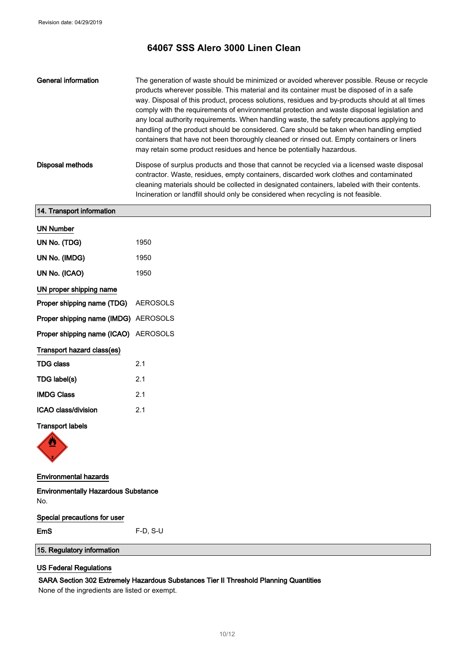| General information | The generation of waste should be minimized or avoided wherever possible. Reuse or recycle<br>products wherever possible. This material and its container must be disposed of in a safe<br>way. Disposal of this product, process solutions, residues and by-products should at all times<br>comply with the requirements of environmental protection and waste disposal legislation and<br>any local authority requirements. When handling waste, the safety precautions applying to<br>handling of the product should be considered. Care should be taken when handling emptied<br>containers that have not been thoroughly cleaned or rinsed out. Empty containers or liners<br>may retain some product residues and hence be potentially hazardous. |
|---------------------|---------------------------------------------------------------------------------------------------------------------------------------------------------------------------------------------------------------------------------------------------------------------------------------------------------------------------------------------------------------------------------------------------------------------------------------------------------------------------------------------------------------------------------------------------------------------------------------------------------------------------------------------------------------------------------------------------------------------------------------------------------|
| Disposal methods    | Dispose of surplus products and those that cannot be recycled via a licensed waste disposal<br>contractor. Waste, residues, empty containers, discarded work clothes and contaminated<br>cleaning materials should be collected in designated containers, labeled with their contents.<br>Incineration or landfill should only be considered when recycling is not feasible.                                                                                                                                                                                                                                                                                                                                                                            |

## 14. Transport information

| <b>UN Number</b>                            |                |
|---------------------------------------------|----------------|
| UN No. (TDG)                                | 1950           |
| UN No. (IMDG)                               | 1950           |
| UN No. (ICAO)                               | 1950           |
| UN proper shipping name                     |                |
| <b>Proper shipping name (TDG)</b> AEROSOLS  |                |
| <b>Proper shipping name (IMDG)</b> AEROSOLS |                |
| Proper shipping name (ICAO) AEROSOLS        |                |
| Transport hazard class(es)                  |                |
| <b>TDG class</b>                            | 2 <sub>1</sub> |
| TDG label(s)                                | 2.1            |
| <b>IMDG Class</b>                           | 2.1            |
| ICAO class/division                         | 2.1            |

### Transport labels



### Environmental hazards

Environmentally Hazardous Substance No.

Special precautions for user EmS F-D, S-U

15. Regulatory information

# US Federal Regulations

### SARA Section 302 Extremely Hazardous Substances Tier II Threshold Planning Quantities

None of the ingredients are listed or exempt.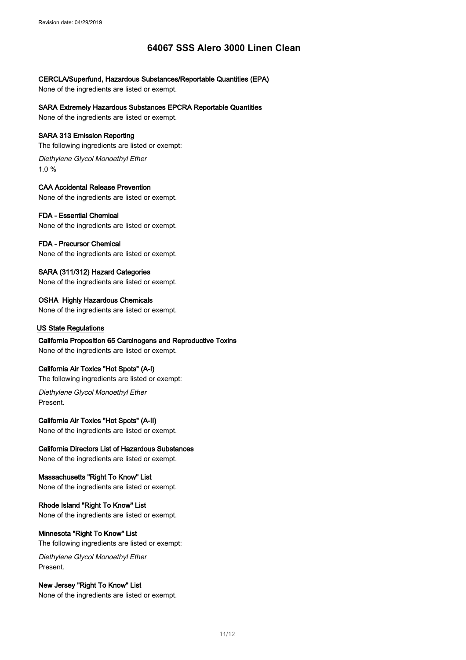### CERCLA/Superfund, Hazardous Substances/Reportable Quantities (EPA)

None of the ingredients are listed or exempt.

SARA Extremely Hazardous Substances EPCRA Reportable Quantities

None of the ingredients are listed or exempt.

### SARA 313 Emission Reporting

The following ingredients are listed or exempt:

Diethylene Glycol Monoethyl Ether 1.0 %

### CAA Accidental Release Prevention

None of the ingredients are listed or exempt.

### FDA - Essential Chemical

None of the ingredients are listed or exempt.

### FDA - Precursor Chemical

None of the ingredients are listed or exempt.

## SARA (311/312) Hazard Categories

None of the ingredients are listed or exempt.

OSHA Highly Hazardous Chemicals None of the ingredients are listed or exempt.

### US State Regulations

California Proposition 65 Carcinogens and Reproductive Toxins None of the ingredients are listed or exempt.

## California Air Toxics "Hot Spots" (A-I)

The following ingredients are listed or exempt:

Diethylene Glycol Monoethyl Ether Present.

## California Air Toxics "Hot Spots" (A-II)

None of the ingredients are listed or exempt.

### California Directors List of Hazardous Substances

None of the ingredients are listed or exempt.

### Massachusetts "Right To Know" List None of the ingredients are listed or exempt.

Rhode Island "Right To Know" List None of the ingredients are listed or exempt.

### Minnesota "Right To Know" List

The following ingredients are listed or exempt:

Diethylene Glycol Monoethyl Ether Present.

### New Jersey "Right To Know" List

None of the ingredients are listed or exempt.